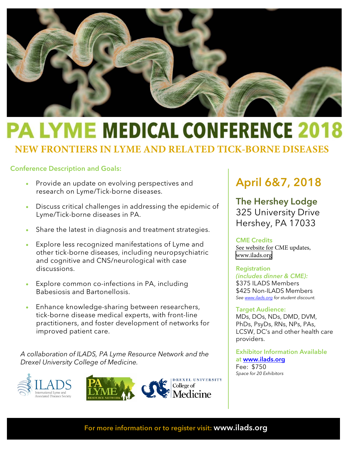

# **PA LYME MEDICAL CONFERENCE 2018**

**NEW FRONTIERS IN LYME AND RELATED TICK-BORNE DISEASES**

### Conference Description and Goals:

- Provide an update on evolving perspectives and research on Lyme/Tick-borne diseases.
- Discuss critical challenges in addressing the epidemic of Lyme/Tick-borne diseases in PA.
- Share the latest in diagnosis and treatment strategies.
- Explore less recognized manifestations of Lyme and other tick-borne diseases, including neuropsychiatric and cognitive and CNS/neurological with case discussions.
- Explore common co-infections in PA, including Babesiosis and Bartonellosis.
- Enhance knowledge-sharing between researchers, tick-borne disease medical experts, with front-line practitioners, and foster development of networks for improved patient care.

*A collaboration of ILADS, PA Lyme Resource Network and the Drexel University College of Medicine.* 





### April 6&7, 2018

The Hershey Lodge 325 University Drive Hershey, PA 17033

### CME Credits

See website for CME updates, <www.ilads.org>

### **Registration**

*(includes dinner & CME):* \$375 ILADS Members \$425 Non-ILADS Members *Se[e www.ilads.org](http://www.ilads.org/) for student discount.* 

### Target Audience:

MDs, DOs, NDs, DMD, DVM, PhDs, PsyDs, RNs, NPs, PAs, LCSW, DC's and other health care providers.

Exhibitor Information Available at www.ilads.org Fee: [\\$750](http://www.ilads.org/) *Space for 20 Exhibitors*